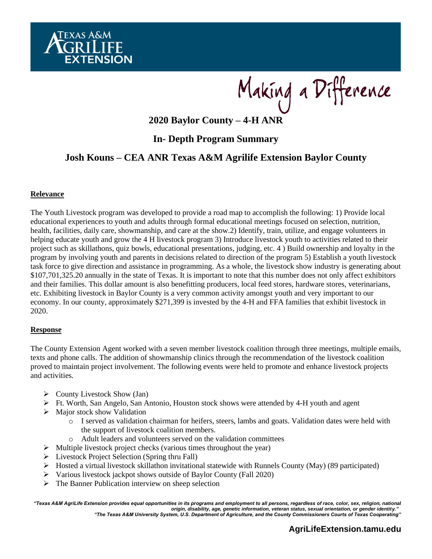

Making a Difference

**2020 Baylor County – 4-H ANR**

# **In- Depth Program Summary**

# **Josh Kouns – CEA ANR Texas A&M Agrilife Extension Baylor County**

#### **Relevance**

The Youth Livestock program was developed to provide a road map to accomplish the following: 1) Provide local educational experiences to youth and adults through formal educational meetings focused on selection, nutrition, health, facilities, daily care, showmanship, and care at the show.2) Identify, train, utilize, and engage volunteers in helping educate youth and grow the 4 H livestock program 3) Introduce livestock youth to activities related to their project such as skillathons, quiz bowls, educational presentations, judging, etc. 4 ) Build ownership and loyalty in the program by involving youth and parents in decisions related to direction of the program 5) Establish a youth livestock task force to give direction and assistance in programming. As a whole, the livestock show industry is generating about \$107,701,325.20 annually in the state of Texas. It is important to note that this number does not only affect exhibitors and their families. This dollar amount is also benefitting producers, local feed stores, hardware stores, veterinarians, etc. Exhibiting livestock in Baylor County is a very common activity amongst youth and very important to our economy. In our county, approximately \$271,399 is invested by the 4-H and FFA families that exhibit livestock in 2020.

#### **Response**

The County Extension Agent worked with a seven member livestock coalition through three meetings, multiple emails, texts and phone calls. The addition of showmanship clinics through the recommendation of the livestock coalition proved to maintain project involvement. The following events were held to promote and enhance livestock projects and activities.

- $\triangleright$  County Livestock Show (Jan)
- $\triangleright$  Ft. Worth, San Angelo, San Antonio, Houston stock shows were attended by 4-H youth and agent
- ➢ Major stock show Validation
	- o I served as validation chairman for heifers, steers, lambs and goats. Validation dates were held with the support of livestock coalition members.
	- o Adult leaders and volunteers served on the validation committees
- $\triangleright$  Multiple livestock project checks (various times throughout the year)
- ➢ Livestock Project Selection (Spring thru Fall)
- ➢ Hosted a virtual livestock skillathon invitational statewide with Runnels County (May) (89 participated)
- ➢ Various livestock jackpot shows outside of Baylor County (Fall 2020)
- $\triangleright$  The Banner Publication interview on sheep selection

*"Texas A&M AgriLife Extension provides equal opportunities in its programs and employment to all persons, regardless of race, color, sex, religion, national origin, disability, age, genetic information, veteran status, sexual orientation, or gender identity." "The Texas A&M University System, U.S. Department of Agriculture, and the County Commissioners Courts of Texas Cooperating"*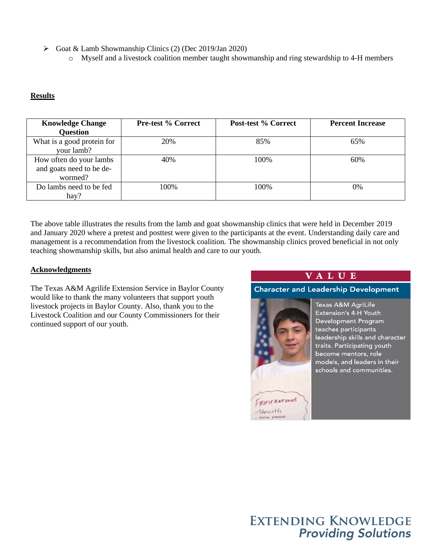➢ Goat & Lamb Showmanship Clinics (2) (Dec 2019/Jan 2020)

o Myself and a livestock coalition member taught showmanship and ring stewardship to 4-H members

### **Results**

| <b>Knowledge Change</b><br><b>Question</b>                     | <b>Pre-test % Correct</b> | Post-test % Correct | <b>Percent Increase</b> |
|----------------------------------------------------------------|---------------------------|---------------------|-------------------------|
| What is a good protein for<br>your lamb?                       | 20%                       | 85%                 | 65%                     |
| How often do your lambs<br>and goats need to be de-<br>wormed? | 40%                       | 100\%               | 60%                     |
| Do lambs need to be fed<br>hay?                                | 100%                      | 100%                | 0%                      |

The above table illustrates the results from the lamb and goat showmanship clinics that were held in December 2019 and January 2020 where a pretest and posttest were given to the participants at the event. Understanding daily care and management is a recommendation from the livestock coalition. The showmanship clinics proved beneficial in not only teaching showmanship skills, but also animal health and care to our youth.

#### **Acknowledgments**

The Texas A&M Agrilife Extension Service in Baylor County would like to thank the many volunteers that support youth livestock projects in Baylor County. Also, thank you to the Livestock Coalition and our County Commissioners for their continued support of our youth.

## **VALUE**

**Character and Leadership Development** 



Texas A&M AgriLife Extension's 4-H Youth Development Program teaches participants leadership skills and character traits. Participating youth become mentors, role models, and leaders in their schools and communities.

# **EXTENDING KNOWLEDGE Providing Solutions**